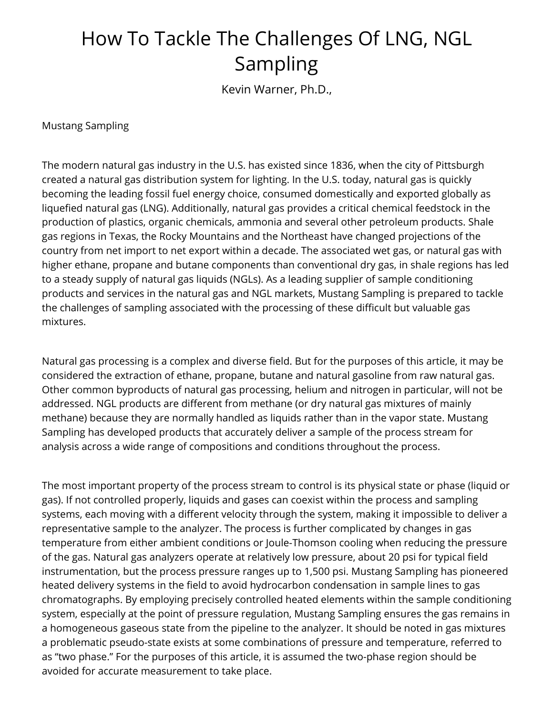## How To Tackle The Challenges Of LNG, NGL Sampling

Kevin Warner, Ph.D.,

Mustang Sampling

The modern natural gas industry in the U.S. has existed since 1836, when the city of Pittsburgh created a natural gas distribution system for lighting. In the U.S. today, natural gas is quickly becoming the leading fossil fuel energy choice, consumed domestically and exported globally as liquefied natural gas (LNG). Additionally, natural gas provides a critical chemical feedstock in the production of plastics, organic chemicals, ammonia and several other petroleum products. Shale gas regions in Texas, the Rocky Mountains and the Northeast have changed projections of the country from net import to net export within a decade. The associated wet gas, or natural gas with higher ethane, propane and butane components than conventional dry gas, in shale regions has led to a steady supply of natural gas liquids (NGLs). As a leading supplier of sample conditioning products and services in the natural gas and NGL markets, Mustang Sampling is prepared to tackle the challenges of sampling associated with the processing of these difficult but valuable gas mixtures.

Natural gas processing is a complex and diverse field. But for the purposes of this article, it may be considered the extraction of ethane, propane, butane and natural gasoline from raw natural gas. Other common byproducts of natural gas processing, helium and nitrogen in particular, will not be addressed. NGL products are different from methane (or dry natural gas mixtures of mainly methane) because they are normally handled as liquids rather than in the vapor state. Mustang Sampling has developed products that accurately deliver a sample of the process stream for analysis across a wide range of compositions and conditions throughout the process.

The most important property of the process stream to control is its physical state or phase (liquid or gas). If not controlled properly, liquids and gases can coexist within the process and sampling systems, each moving with a different velocity through the system, making it impossible to deliver a representative sample to the analyzer. The process is further complicated by changes in gas temperature from either ambient conditions or Joule-Thomson cooling when reducing the pressure of the gas. Natural gas analyzers operate at relatively low pressure, about 20 psi for typical field instrumentation, but the process pressure ranges up to 1,500 psi. Mustang Sampling has pioneered heated delivery systems in the field to avoid hydrocarbon condensation in sample lines to gas chromatographs. By employing precisely controlled heated elements within the sample conditioning system, especially at the point of pressure regulation, Mustang Sampling ensures the gas remains in a homogeneous gaseous state from the pipeline to the analyzer. It should be noted in gas mixtures a problematic pseudo-state exists at some combinations of pressure and temperature, referred to as "two phase." For the purposes of this article, it is assumed the two-phase region should be avoided for accurate measurement to take place.